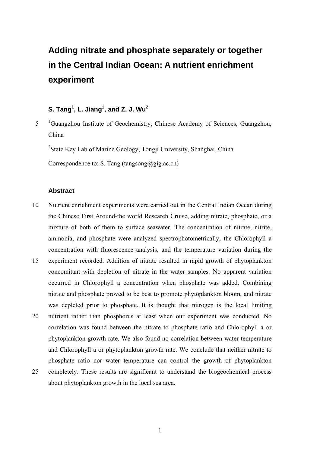# **Adding nitrate and phosphate separately or together in the Central Indian Ocean: A nutrient enrichment experiment**

# ${\sf S.\ Tang^1,\ L.\ Jiang^1,\ and\ Z.\ J.\ Wu^2}$

5 <sup>1</sup>Guangzhou Institute of Geochemistry, Chinese Academy of Sciences, Guangzhou, China

<sup>2</sup>State Key Lab of Marine Geology, Tongji University, Shanghai, China

Correspondence to: S. Tang (tangsong $(a)$ gig.ac.cn)

# **Abstract**

- 10 Nutrient enrichment experiments were carried out in the Central Indian Ocean during the Chinese First Around-the world Research Cruise, adding nitrate, phosphate, or a mixture of both of them to surface seawater. The concentration of nitrate, nitrite, ammonia, and phosphate were analyzed spectrophotometrically, the Chlorophyll a concentration with fluorescence analysis, and the temperature variation during the
- 15 experiment recorded. Addition of nitrate resulted in rapid growth of phytoplankton concomitant with depletion of nitrate in the water samples. No apparent variation occurred in Chlorophyll a concentration when phosphate was added. Combining nitrate and phosphate proved to be best to promote phytoplankton bloom, and nitrate was depleted prior to phosphate. It is thought that nitrogen is the local limiting
- 20 nutrient rather than phosphorus at least when our experiment was conducted. No correlation was found between the nitrate to phosphate ratio and Chlorophyll a or phytoplankton growth rate. We also found no correlation between water temperature and Chlorophyll a or phytoplankton growth rate. We conclude that neither nitrate to phosphate ratio nor water temperature can control the growth of phytoplankton
- 25 completely. These results are significant to understand the biogeochemical process about phytoplankton growth in the local sea area.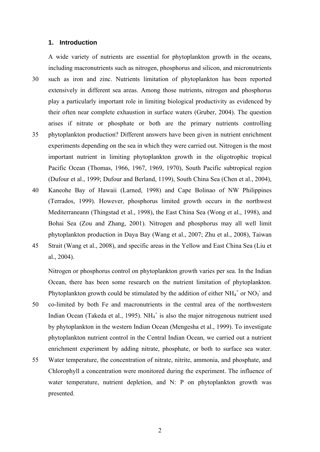#### **1. Introduction**

A wide variety of nutrients are essential for phytoplankton growth in the oceans, including macronutrients such as nitrogen, phosphorus and silicon, and micronutrients 30 such as iron and zinc. Nutrients limitation of phytoplankton has been reported extensively in different sea areas. Among those nutrients, nitrogen and phosphorus play a particularly important role in limiting biological productivity as evidenced by their often near complete exhaustion in surface waters (Gruber, 2004). The question arises if nitrate or phosphate or both are the primary nutrients controlling 35 phytoplankton production? Different answers have been given in nutrient enrichment experiments depending on the sea in which they were carried out. Nitrogen is the most important nutrient in limiting phytoplankton growth in the oligotrophic tropical Pacific Ocean (Thomas, 1966, 1967, 1969, 1970), South Pacific subtropical region (Dufour et al., 1999; Dufour and Berland, 1199), South China Sea (Chen et al., 2004), 40 Kaneohe Bay of Hawaii (Larned, 1998) and Cape Bolinao of NW Philippines (Terrados, 1999). However, phosphorus limited growth occurs in the northwest Mediterraneann (Thingstad et al., 1998), the East China Sea (Wong et al., 1998), and Bohai Sea (Zou and Zhang, 2001). Nitrogen and phosphorus may all well limit phytoplankton production in Daya Bay (Wang et al., 2007; Zhu et al., 2008), Taiwan

45 Strait (Wang et al., 2008), and specific areas in the Yellow and East China Sea (Liu et al., 2004).

Nitrogen or phosphorus control on phytoplankton growth varies per sea. In the Indian Ocean, there has been some research on the nutrient limitation of phytoplankton. Phytoplankton growth could be stimulated by the addition of either  $NH_4^+$  or  $NO_3^-$  and

- 50 co-limited by both Fe and macronutrients in the central area of the northwestern Indian Ocean (Takeda et al., 1995). NH $_4$ <sup>+</sup> is also the major nitrogenous nutrient used by phytoplankton in the western Indian Ocean (Mengesha et al., 1999). To investigate phytoplankton nutrient control in the Central Indian Ocean, we carried out a nutrient enrichment experiment by adding nitrate, phosphate, or both to surface sea water.
- 55 Water temperature, the concentration of nitrate, nitrite, ammonia, and phosphate, and Chlorophyll a concentration were monitored during the experiment. The influence of water temperature, nutrient depletion, and N: P on phytoplankton growth was presented.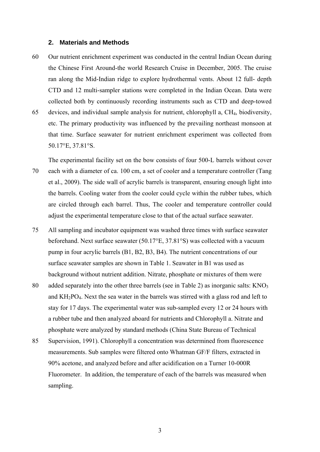#### **2. Materials and Methods**

60 Our nutrient enrichment experiment was conducted in the central Indian Ocean during the Chinese First Around-the world Research Cruise in December, 2005. The cruise ran along the Mid-Indian ridge to explore hydrothermal vents. About 12 full- depth CTD and 12 multi-sampler stations were completed in the Indian Ocean. Data were collected both by continuously recording instruments such as CTD and deep-towed 65 devices, and individual sample analysis for nutrient, chlorophyll a, CH4, biodiversity,

etc. The primary productivity was influenced by the prevailing northeast monsoon at that time. Surface seawater for nutrient enrichment experiment was collected from 50.17°E, 37.81°S.

The experimental facility set on the bow consists of four 500-L barrels without cover 70 each with a diameter of ca. 100 cm, a set of cooler and a temperature controller (Tang et al., 2009). The side wall of acrylic barrels is transparent, ensuring enough light into the barrels. Cooling water from the cooler could cycle within the rubber tubes, which are circled through each barrel. Thus, The cooler and temperature controller could adjust the experimental temperature close to that of the actual surface seawater.

- 75 All sampling and incubator equipment was washed three times with surface seawater beforehand. Next surface seawater (50.17°E, 37.81°S) was collected with a vacuum pump in four acrylic barrels (B1, B2, B3, B4). The nutrient concentrations of our surface seawater samples are shown in Table 1. Seawater in B1 was used as background without nutrient addition. Nitrate, phosphate or mixtures of them were
- 80 added separately into the other three barrels (see in Table 2) as inorganic salts:  $KNO<sub>3</sub>$ and  $KH_2PO_4$ . Next the sea water in the barrels was stirred with a glass rod and left to stay for 17 days. The experimental water was sub-sampled every 12 or 24 hours with a rubber tube and then analyzed aboard for nutrients and Chlorophyll a. Nitrate and phosphate were analyzed by standard methods (China State Bureau of Technical
- 85 Supervision, 1991). Chlorophyll a concentration was determined from fluorescence measurements. Sub samples were filtered onto Whatman GF/F filters, extracted in 90% acetone, and analyzed before and after acidification on a Turner 10-000R Fluorometer. In addition, the temperature of each of the barrels was measured when sampling.

3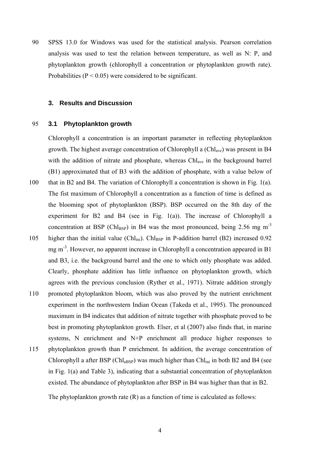90 SPSS 13.0 for Windows was used for the statistical analysis. Pearson correlation analysis was used to test the relation between temperature, as well as N: P, and phytoplankton growth (chlorophyll a concentration or phytoplankton growth rate). Probabilities ( $P < 0.05$ ) were considered to be significant.

## **3. Results and Discussion**

## 95 **3.1 Phytoplankton growth**

Chlorophyll a concentration is an important parameter in reflecting phytoplankton growth. The highest average concentration of Chlorophyll a (Chlave) was present in B4 with the addition of nitrate and phosphate, whereas Chl<sub>ave</sub> in the background barrel (B1) approximated that of B3 with the addition of phosphate, with a value below of 100 that in B2 and B4. The variation of Chlorophyll a concentration is shown in Fig. 1(a). The fist maximum of Chlorophyll a concentration as a function of time is defined as the blooming spot of phytoplankton (BSP). BSP occurred on the 8th day of the experiment for B2 and B4 (see in Fig.  $1(a)$ ). The increase of Chlorophyll a

concentration at BSP (Chl<sub>BSP</sub>) in B4 was the most pronounced, being 2.56 mg m<sup>-3</sup>

- 105 higher than the initial value (Chl<sub>ini</sub>). Chl<sub>BSP</sub> in P-addition barrel (B2) increased 0.92 mg  $m<sup>-3</sup>$ . However, no apparent increase in Chlorophyll a concentration appeared in B1 and B3, i.e. the background barrel and the one to which only phosphate was added. Clearly, phosphate addition has little influence on phytoplankton growth, which agrees with the previous conclusion (Ryther et al., 1971). Nitrate addition strongly
- 110 promoted phytoplankton bloom, which was also proved by the nutrient enrichment experiment in the northwestern Indian Ocean (Takeda et al., 1995). The pronounced maximum in B4 indicates that addition of nitrate together with phosphate proved to be best in promoting phytoplankton growth. Elser, et al (2007) also finds that, in marine systems, N enrichment and N+P enrichment all produce higher responses to
- 115 phytoplankton growth than P enrichment. In addition, the average concentration of Chlorophyll a after BSP (Chl<sub>aBSP</sub>) was much higher than Chl<sub>ini</sub> in both B2 and B4 (see in Fig. 1(a) and Table 3), indicating that a substantial concentration of phytoplankton existed. The abundance of phytoplankton after BSP in B4 was higher than that in B2. The phytoplankton growth rate (R) as a function of time is calculated as follows: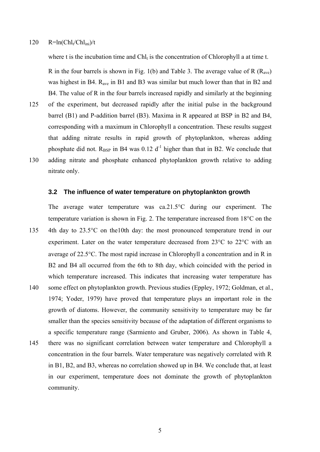#### $120$  R=ln(Chl<sub>t</sub>/Chl<sub>ini</sub>)/t

where t is the incubation time and Chl $_t$  is the concentration of Chlorophyll a at time t.

R in the four barrels is shown in Fig. 1(b) and Table 3. The average value of R  $(R_{ave})$ was highest in B4. R<sub>ave</sub> in B1 and B3 was similar but much lower than that in B2 and B4. The value of R in the four barrels increased rapidly and similarly at the beginning

125 of the experiment, but decreased rapidly after the initial pulse in the background barrel (B1) and P-addition barrel (B3). Maxima in R appeared at BSP in B2 and B4, corresponding with a maximum in Chlorophyll a concentration. These results suggest that adding nitrate results in rapid growth of phytoplankton, whereas adding phosphate did not. R<sub>BSP</sub> in B4 was 0.12 d<sup>-1</sup> higher than that in B2. We conclude that 130 adding nitrate and phosphate enhanced phytoplankton growth relative to adding nitrate only.

# **3.2 The influence of water temperature on phytoplankton growth**

The average water temperature was ca.21.5 $\degree$ C during our experiment. The temperature variation is shown in Fig. 2. The temperature increased from  $18^{\circ}$ C on the

- 135 4th day to 23.5°C on the10th day: the most pronounced temperature trend in our experiment. Later on the water temperature decreased from  $23^{\circ}$ C to  $22^{\circ}$ C with an average of 22.5°C. The most rapid increase in Chlorophyll a concentration and in R in B2 and B4 all occurred from the 6th to 8th day, which coincided with the period in which temperature increased. This indicates that increasing water temperature has
- 140 some effect on phytoplankton growth. Previous studies (Eppley, 1972; Goldman, et al., 1974; Yoder, 1979) have proved that temperature plays an important role in the growth of diatoms. However, the community sensitivity to temperature may be far smaller than the species sensitivity because of the adaptation of different organisms to a specific temperature range (Sarmiento and Gruber, 2006). As shown in Table 4, 145 there was no significant correlation between water temperature and Chlorophyll a concentration in the four barrels. Water temperature was negatively correlated with R in B1, B2, and B3, whereas no correlation showed up in B4. We conclude that, at least in our experiment, temperature does not dominate the growth of phytoplankton community.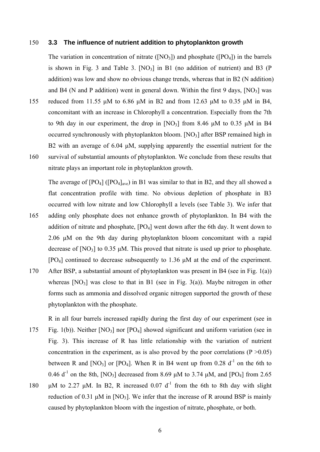## 150 **3.3 The influence of nutrient addition to phytoplankton growth**

The variation in concentration of nitrate  $(NO_3)$  and phosphate  $([PO_4]$ ) in the barrels is shown in Fig. 3 and Table 3.  $[NO_3]$  in B1 (no addition of nutrient) and B3 (P addition) was low and show no obvious change trends, whereas that in B2 (N addition) and B4 (N and P addition) went in general down. Within the first 9 days,  $[NO<sub>3</sub>]$  was 155 reduced from 11.55 μM to 6.86 μM in B2 and from 12.63 μM to 0.35 μM in B4,

- concomitant with an increase in Chlorophyll a concentration. Especially from the 7th to 9th day in our experiment, the drop in  $[NO_3]$  from 8.46 μM to 0.35 μM in B4 occurred synchronously with phytoplankton bloom.  $[NO<sub>3</sub>]$  after BSP remained high in B2 with an average of 6.04 μM, supplying apparently the essential nutrient for the 160 survival of substantial amounts of phytoplankton. We conclude from these results that
- nitrate plays an important role in phytoplankton growth.

The average of  $[PO_4]$  ( $[PO_4]_{ave}$ ) in B1 was similar to that in B2, and they all showed a flat concentration profile with time. No obvious depletion of phosphate in B3 occurred with low nitrate and low Chlorophyll a levels (see Table 3). We infer that 165 adding only phosphate does not enhance growth of phytoplankton. In B4 with the addition of nitrate and phosphate,  $[PO_4]$  went down after the 6th day. It went down to 2.06 μM on the 9th day during phytoplankton bloom concomitant with a rapid decrease of  $[NO<sub>3</sub>]$  to 0.35  $\mu$ M. This proved that nitrate is used up prior to phosphate. [PO4] continued to decrease subsequently to 1.36 μM at the end of the experiment.

- 170 After BSP, a substantial amount of phytoplankton was present in B4 (see in Fig. 1(a)) whereas  $[NO_3]$  was close to that in B1 (see in Fig. 3(a)). Maybe nitrogen in other forms such as ammonia and dissolved organic nitrogen supported the growth of these phytoplankton with the phosphate.
- R in all four barrels increased rapidly during the first day of our experiment (see in 175 Fig. 1(b)). Neither [NO3] nor [PO4] showed significant and uniform variation (see in Fig. 3). This increase of R has little relationship with the variation of nutrient concentration in the experiment, as is also proved by the poor correlations  $(P > 0.05)$ between R and  $[NO_3]$  or  $[PO_4]$ . When R in B4 went up from 0.28 d<sup>-1</sup> on the 6th to 0.46  $d^{-1}$  on the 8th,  $[NO_3]$  decreased from 8.69 μM to 3.74 μM, and  $[PO_4]$  from 2.65
- 180 μM to 2.27 μM. In B2, R increased 0.07 d<sup>-1</sup> from the 6th to 8th day with slight reduction of 0.31  $\mu$ M in [NO<sub>3</sub>]. We infer that the increase of R around BSP is mainly caused by phytoplankton bloom with the ingestion of nitrate, phosphate, or both.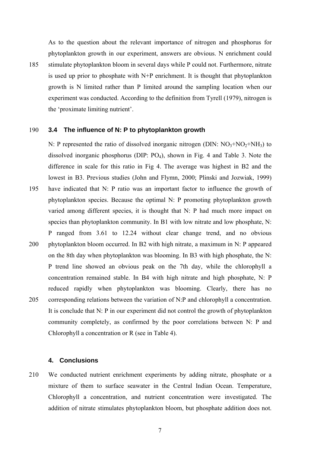As to the question about the relevant importance of nitrogen and phosphorus for phytoplankton growth in our experiment, answers are obvious. N enrichment could 185 stimulate phytoplankton bloom in several days while P could not. Furthermore, nitrate is used up prior to phosphate with N+P enrichment. It is thought that phytoplankton growth is N limited rather than P limited around the sampling location when our experiment was conducted. According to the definition from Tyrell (1979), nitrogen is the 'proximate limiting nutrient'.

## 190 **3.4 The influence of N: P to phytoplankton growth**

N: P represented the ratio of dissolved inorganic nitrogen (DIN:  $NO<sub>3</sub>+NO<sub>2</sub>+NH<sub>3</sub>$ ) to dissolved inorganic phosphorus (DIP: PO4), shown in Fig. 4 and Table 3. Note the difference in scale for this ratio in Fig 4. The average was highest in B2 and the lowest in B3. Previous studies (John and Flymn, 2000; Plinski and Jozwiak, 1999) 195 have indicated that N: P ratio was an important factor to influence the growth of phytoplankton species. Because the optimal N: P promoting phytoplankton growth varied among different species, it is thought that N: P had much more impact on species than phytoplankton community. In B1 with low nitrate and low phosphate, N: P ranged from 3.61 to 12.24 without clear change trend, and no obvious 200 phytoplankton bloom occurred. In B2 with high nitrate, a maximum in N: P appeared on the 8th day when phytoplankton was blooming. In B3 with high phosphate, the N: P trend line showed an obvious peak on the 7th day, while the chlorophyll a concentration remained stable. In B4 with high nitrate and high phosphate, N: P reduced rapidly when phytoplankton was blooming. Clearly, there has no 205 corresponding relations between the variation of N:P and chlorophyll a concentration. It is conclude that N: P in our experiment did not control the growth of phytoplankton community completely, as confirmed by the poor correlations between N: P and Chlorophyll a concentration or R (see in Table 4).

# **4. Conclusions**

210 We conducted nutrient enrichment experiments by adding nitrate, phosphate or a mixture of them to surface seawater in the Central Indian Ocean. Temperature, Chlorophyll a concentration, and nutrient concentration were investigated. The addition of nitrate stimulates phytoplankton bloom, but phosphate addition does not.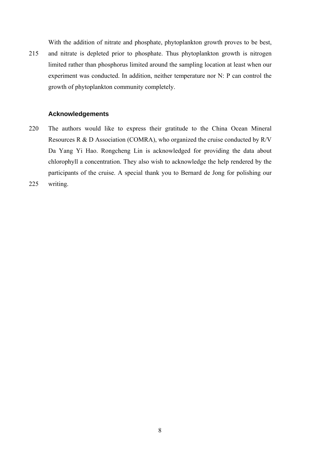With the addition of nitrate and phosphate, phytoplankton growth proves to be best, 215 and nitrate is depleted prior to phosphate. Thus phytoplankton growth is nitrogen limited rather than phosphorus limited around the sampling location at least when our experiment was conducted. In addition, neither temperature nor N: P can control the growth of phytoplankton community completely.

# **Acknowledgements**

- 220 The authors would like to express their gratitude to the China Ocean Mineral Resources R & D Association (COMRA), who organized the cruise conducted by R/V Da Yang Yi Hao. Rongcheng Lin is acknowledged for providing the data about chlorophyll a concentration. They also wish to acknowledge the help rendered by the participants of the cruise. A special thank you to Bernard de Jong for polishing our
- 225 writing.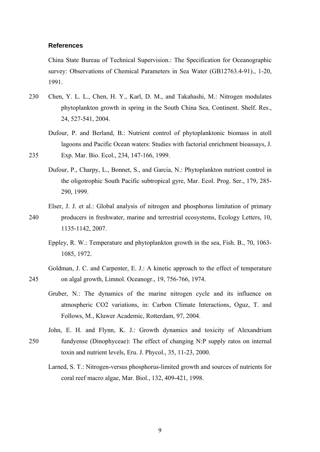# **References**

China State Bureau of Technical Supervision.: The Specification for Oceanographic survey: Observations of Chemical Parameters in Sea Water (GB12763.4-91)., 1-20, 1991.

- 230 Chen, Y. L. L., Chen, H. Y., Karl, D. M., and Takahashi, M.: Nitrogen modulates phytoplankton growth in spring in the South China Sea, Continent. Shelf. Res., 24, 527-541, 2004.
- Dufour, P. and Berland, B.: Nutrient control of phytoplanktonic biomass in atoll lagoons and Pacific Ocean waters: Studies with factorial enrichment bioassays, J. 235 Exp. Mar. Bio. Ecol., 234, 147-166, 1999.
	- Dufour, P., Charpy, L., Bonnet, S., and Garcia, N.: Phytoplankton nutrient control in the oligotrophic South Pacific subtropical gyre, Mar. Ecol. Prog. Ser., 179, 285- 290, 1999.
- Elser, J. J. et al.: Global analysis of nitrogen and phosphorus limitation of primary 240 producers in freshwater, marine and terrestrial ecosystems, Ecology Letters, 10, 1135-1142, 2007.
	- Eppley, R. W.: Temperature and phytoplankton growth in the sea, Fish. B., 70, 1063- 1085, 1972.
- Goldman, J. C. and Carpenter, E. J.: A kinetic approach to the effect of temperature 245 on algal growth, Limnol. Oceanogr., 19, 756-766, 1974.
	- Gruber, N.: The dynamics of the marine nitrogen cycle and its influence on atmospheric CO2 variations, in: Carbon Climate Interactions, Oguz, T. and Follows, M., Kluwer Academic, Rotterdam, 97, 2004.
- John, E. H. and Flynn, K. J.: Growth dynamics and toxicity of Alexandrium 250 fundyense (Dinophyceae): The effect of changing N:P supply ratos on internal toxin and nutrient levels, Eru. J. Phycol., 35, 11-23, 2000.
	- Larned, S. T.: Nitrogen-versus phosphorus-limited growth and sources of nutrients for coral reef macro algae, Mar. Biol., 132, 409-421, 1998.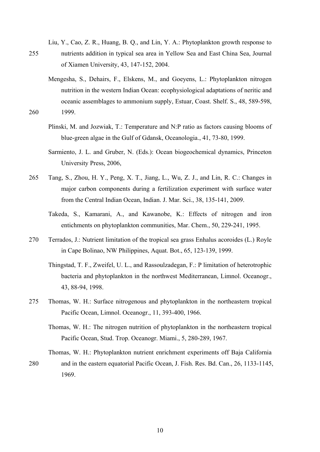- Liu, Y., Cao, Z. R., Huang, B. Q., and Lin, Y. A.: Phytoplankton growth response to 255 nutrients addition in typical sea area in Yellow Sea and East China Sea, Journal of Xiamen University, 43, 147-152, 2004.
- Mengesha, S., Dehairs, F., Elskens, M., and Goeyens, L.: Phytoplankton nitrogen nutrition in the western Indian Ocean: ecophysiological adaptations of neritic and oceanic assemblages to ammonium supply, Estuar, Coast. Shelf. S., 48, 589-598, 260 1999.
	- Plinski, M. and Jozwiak, T.: Temperature and N:P ratio as factors causing blooms of blue-green algae in the Gulf of Gdansk, Oceanologia., 41, 73-80, 1999.
	- Sarmiento, J. L. and Gruber, N. (Eds.): Ocean biogeochemical dynamics, Princeton University Press, 2006,
- 265 Tang, S., Zhou, H. Y., Peng, X. T., Jiang, L., Wu, Z. J., and Lin, R. C.: Changes in major carbon components during a fertilization experiment with surface water from the Central Indian Ocean, Indian. J. Mar. Sci., 38, 135-141, 2009.
	- Takeda, S., Kamarani, A., and Kawanobe, K.: Effects of nitrogen and iron entichments on phytoplankton communities, Mar. Chem., 50, 229-241, 1995.
- 270 Terrados, J.: Nutrient limitation of the tropical sea grass Enhalus acoroides (L.) Royle in Cape Bolinao, NW Philippines, Aquat. Bot., 65, 123-139, 1999.
	- Thingstad, T. F., Zweifel, U. L., and Rassoulzadegan, F.: P limitation of heterotrophic bacteria and phytoplankton in the northwest Mediterranean, Limnol. Oceanogr., 43, 88-94, 1998.
- 275 Thomas, W. H.: Surface nitrogenous and phytoplankton in the northeastern tropical Pacific Ocean, Limnol. Oceanogr., 11, 393-400, 1966.
	- Thomas, W. H.: The nitrogen nutrition of phytoplankton in the northeastern tropical Pacific Ocean, Stud. Trop. Oceanogr. Miami., 5, 280-289, 1967.
- Thomas, W. H.: Phytoplankton nutrient enrichment experiments off Baja California 280 and in the eastern equatorial Pacific Ocean, J. Fish. Res. Bd. Can., 26, 1133-1145, 1969.

10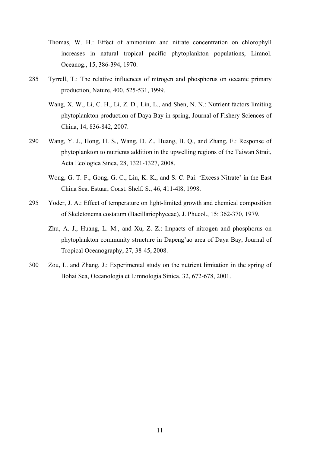- Thomas, W. H.: Effect of ammonium and nitrate concentration on chlorophyll increases in natural tropical pacific phytoplankton populations, Limnol. Oceanog., 15, 386-394, 1970.
- 285 Tyrrell, T.: The relative influences of nitrogen and phosphorus on oceanic primary production, Nature, 400, 525-531, 1999.
	- Wang, X. W., Li, C. H., Li, Z. D., Lin, L., and Shen, N. N.: Nutrient factors limiting phytoplankton production of Daya Bay in spring, Journal of Fishery Sciences of China, 14, 836-842, 2007.
- 290 Wang, Y. J., Hong, H. S., Wang, D. Z., Huang, B. Q., and Zhang, F.: Response of phytoplankton to nutrients addition in the upwelling regions of the Taiwan Strait, Acta Ecologica Sinca, 28, 1321-1327, 2008.
	- Wong, G. T. F., Gong, G. C., Liu, K. K., and S. C. Pai: 'Excess Nitrate' in the East China Sea. Estuar, Coast. Shelf. S., 46, 411-4l8, 1998.
- 295 Yoder, J. A.: Effect of temperature on light-limited growth and chemical composition of Skeletonema costatum (Bacillariophyceae), J. Phucol., 15: 362-370, 1979.
	- Zhu, A. J., Huang, L. M., and Xu, Z. Z.: Impacts of nitrogen and phosphorus on phytoplankton community structure in Dapeng'ao area of Daya Bay, Journal of Tropical Oceanography, 27, 38-45, 2008.
- 300 Zou, L. and Zhang, J.: Experimental study on the nutrient limitation in the spring of Bohai Sea, Oceanologia et Limnologia Sinica, 32, 672-678, 2001.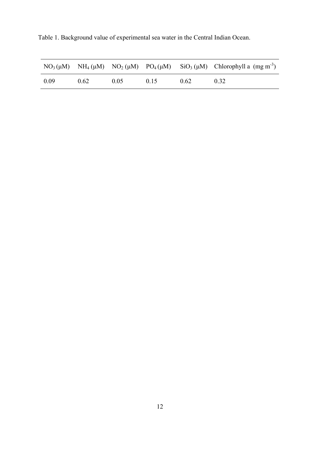Table 1. Background value of experimental sea water in the Central Indian Ocean.

|      |      |      |      |      | $NO_3(\mu M)$ $NH_4(\mu M)$ $NO_2(\mu M)$ $PO_4(\mu M)$ $SiO_3(\mu M)$ Chlorophyll a $(mg m^3)$ |
|------|------|------|------|------|-------------------------------------------------------------------------------------------------|
| 0.09 | 0.62 | 0.05 | 0.15 | 0.62 | 0.32                                                                                            |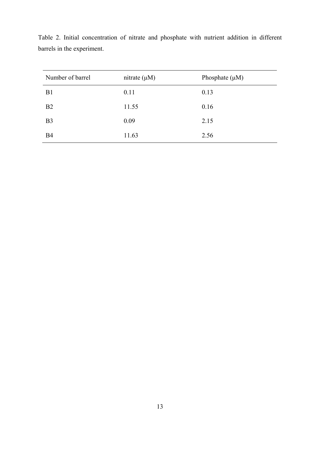| Number of barrel | nitrate $(\mu M)$ | Phosphate $(\mu M)$ |
|------------------|-------------------|---------------------|
| B <sub>1</sub>   | 0.11              | 0.13                |
| B <sub>2</sub>   | 11.55             | 0.16                |
| B <sub>3</sub>   | 0.09              | 2.15                |
| <b>B4</b>        | 11.63             | 2.56                |

Table 2. Initial concentration of nitrate and phosphate with nutrient addition in different barrels in the experiment.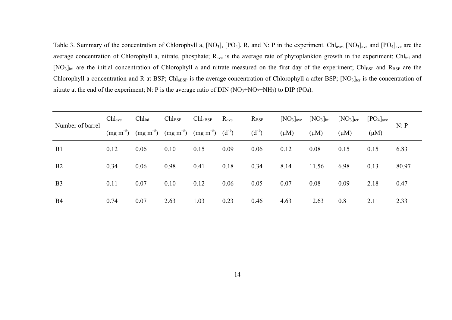Table 3. Summary of the concentration of Chlorophyll a,  $[NO_3]$ ,  $[PO_4]$ , R, and N: P in the experiment. Chl<sub>ave</sub>,  $[NO_3]_{ave}$  and  $[PO_4]_{ave}$  are the average concentration of Chlorophyll a, nitrate, phosphate; R<sub>ave</sub> is the average rate of phytoplankton growth in the experiment; Chl<sub>ini</sub> and [NO<sub>3</sub>]<sub>ini</sub> are the initial concentration of Chlorophyll a and nitrate measured on the first day of the experiment; Chl<sub>BSP</sub> and R<sub>BSP</sub> are the Chlorophyll a concentration and R at BSP; Chl<sub>aBSP</sub> is the average concentration of Chlorophyll a after BSP;  $[NO<sub>3</sub>]_{\text{ter}}$  is the concentration of nitrate at the end of the experiment; N: P is the average ratio of DIN  $(NO<sub>3</sub>+NO<sub>2</sub>+NH<sub>3</sub>)$  to DIP  $(PO<sub>4</sub>)$ .

| Number of barrel | $\text{Chl}_{\text{ave}}$ | Chl <sub>ini</sub> | $\mathrm{Chl}_{\mathrm{BSP}}$ | $\text{Chl}_{\text{aBSP}}$ | $R_{\text{ave}}$ | $R_{\rm{BSP}}$ | [NO <sub>3</sub> ] <sub>ave</sub> | $[NO3]_{\text{ini}}$ | $[NO3]_{\text{ter}}$ | $[PO4]_{\text{ave}}$ | N: P  |
|------------------|---------------------------|--------------------|-------------------------------|----------------------------|------------------|----------------|-----------------------------------|----------------------|----------------------|----------------------|-------|
|                  | $(mg m-3)$                | $(mg m-3)$         | $(mg\ m^3)$                   | $(mg m-3)$ $(d-1)$         |                  | $(d^{-1})$     | $(\mu M)$                         | $(\mu M)$            | $(\mu M)$            | $(\mu M)$            |       |
| B1               | 0.12                      | 0.06               | 0.10                          | 0.15                       | 0.09             | 0.06           | 0.12                              | 0.08                 | 0.15                 | 0.15                 | 6.83  |
| B2               | 0.34                      | 0.06               | 0.98                          | 0.41                       | 0.18             | 0.34           | 8.14                              | 11.56                | 6.98                 | 0.13                 | 80.97 |
| B <sub>3</sub>   | 0.11                      | 0.07               | 0.10                          | 0.12                       | 0.06             | 0.05           | 0.07                              | 0.08                 | 0.09                 | 2.18                 | 0.47  |
| <b>B4</b>        | 0.74                      | 0.07               | 2.63                          | 1.03                       | 0.23             | 0.46           | 4.63                              | 12.63                | 0.8                  | 2.11                 | 2.33  |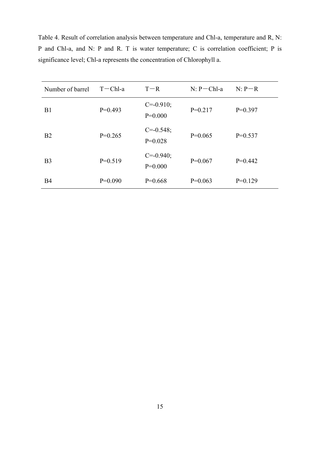| Number of barrel | $T - Chl-a$ | $T - R$                     | $N: P-ChI-a$ | $N: P-R$  |
|------------------|-------------|-----------------------------|--------------|-----------|
| B1               | $P=0.493$   | $C = -0.910$ ;<br>$P=0.000$ | $P=0.217$    | $P=0.397$ |
| <b>B2</b>        | $P=0.265$   | $C = -0.548$ ;<br>$P=0.028$ | $P=0.065$    | $P=0.537$ |
| B <sub>3</sub>   | $P=0.519$   | $C = -0.940$ ;<br>$P=0.000$ | $P=0.067$    | $P=0.442$ |
| B4               | $P=0.090$   | $P=0.668$                   | $P=0.063$    | $P=0.129$ |

Table 4. Result of correlation analysis between temperature and Chl-a, temperature and R, N: P and Chl-a, and N: P and R. T is water temperature; C is correlation coefficient; P is significance level; Chl-a represents the concentration of Chlorophyll a.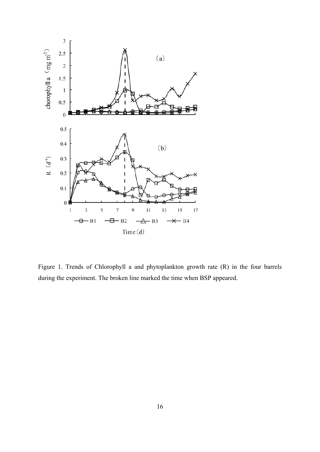

Figure 1. Trends of Chlorophyll a and phytoplankton growth rate  $(R)$  in the four barrels during the experiment. The broken line marked the time when BSP appeared.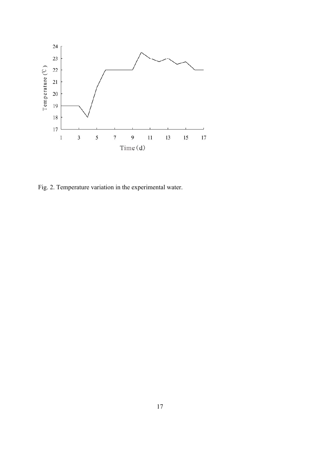

Fig. 2. Temperature variation in the experimental water.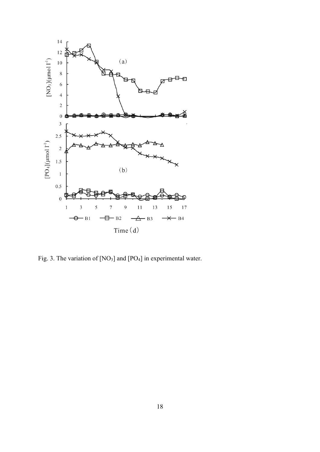

Fig. 3. The variation of  $[NO<sub>3</sub>]$  and  $[PO<sub>4</sub>]$  in experimental water.